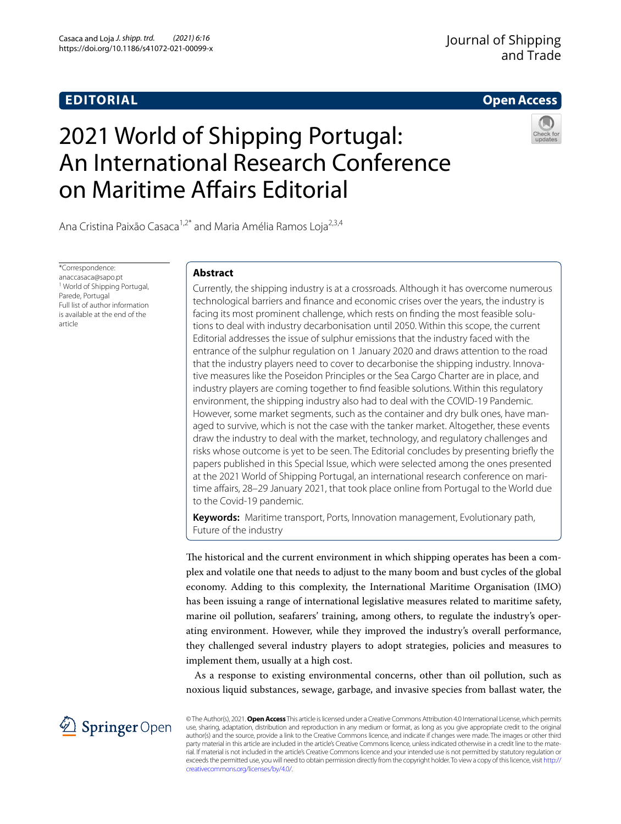# **EDITORIAL**

# **Open Access**

# 2021 World of Shipping Portugal: An International Research Conference on Maritime Afairs Editorial



Ana Cristina Paixão Casaca<sup>1,2\*</sup> and Maria Amélia Ramos Loja<sup>2,3,4</sup>

\*Correspondence: anaccasaca@sapo.pt <sup>1</sup> World of Shipping Portugal, Parede, Portugal Full list of author information is available at the end of the article

# **Abstract**

Currently, the shipping industry is at a crossroads. Although it has overcome numerous technological barriers and fnance and economic crises over the years, the industry is facing its most prominent challenge, which rests on fnding the most feasible solutions to deal with industry decarbonisation until 2050. Within this scope, the current Editorial addresses the issue of sulphur emissions that the industry faced with the entrance of the sulphur regulation on 1 January 2020 and draws attention to the road that the industry players need to cover to decarbonise the shipping industry. Innovative measures like the Poseidon Principles or the Sea Cargo Charter are in place, and industry players are coming together to fnd feasible solutions. Within this regulatory environment, the shipping industry also had to deal with the COVID-19 Pandemic. However, some market segments, such as the container and dry bulk ones, have managed to survive, which is not the case with the tanker market. Altogether, these events draw the industry to deal with the market, technology, and regulatory challenges and risks whose outcome is yet to be seen. The Editorial concludes by presenting briefy the papers published in this Special Issue, which were selected among the ones presented at the 2021 World of Shipping Portugal, an international research conference on maritime affairs, 28-29 January 2021, that took place online from Portugal to the World due to the Covid-19 pandemic.

**Keywords:** Maritime transport, Ports, Innovation management, Evolutionary path, Future of the industry

The historical and the current environment in which shipping operates has been a complex and volatile one that needs to adjust to the many boom and bust cycles of the global economy. Adding to this complexity, the International Maritime Organisation (IMO) has been issuing a range of international legislative measures related to maritime safety, marine oil pollution, seafarers' training, among others, to regulate the industry's operating environment. However, while they improved the industry's overall performance, they challenged several industry players to adopt strategies, policies and measures to implement them, usually at a high cost.

As a response to existing environmental concerns, other than oil pollution, such as noxious liquid substances, sewage, garbage, and invasive species from ballast water, the



© The Author(s), 2021. **Open Access** This article is licensed under a Creative Commons Attribution 4.0 International License, which permits use, sharing, adaptation, distribution and reproduction in any medium or format, as long as you give appropriate credit to the original author(s) and the source, provide a link to the Creative Commons licence, and indicate if changes were made. The images or other third party material in this article are included in the article's Creative Commons licence, unless indicated otherwise in a credit line to the material. If material is not included in the article's Creative Commons licence and your intended use is not permitted by statutory regulation or exceeds the permitted use, you will need to obtain permission directly from the copyright holder. To view a copy of this licence, visit [http://](http://creativecommons.org/licenses/by/4.0/) [creativecommons.org/licenses/by/4.0/.](http://creativecommons.org/licenses/by/4.0/)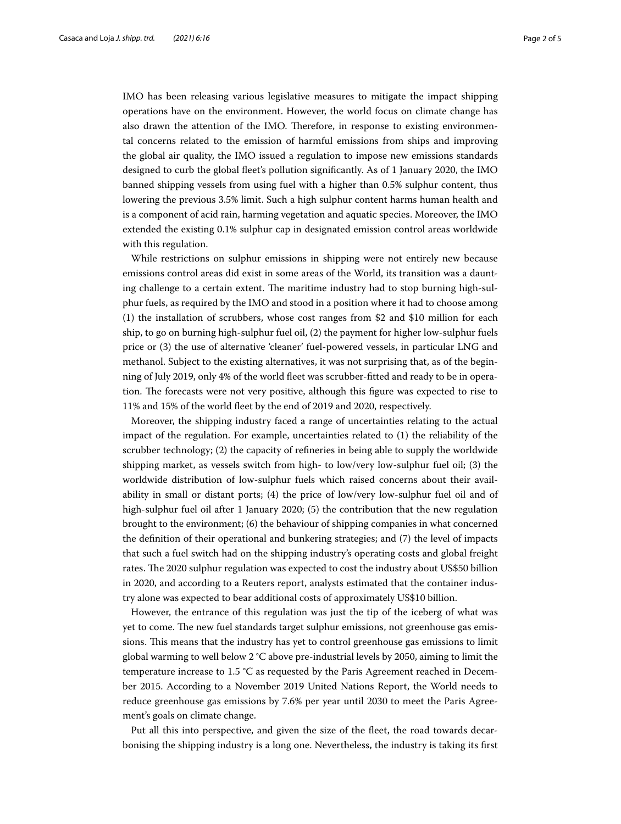IMO has been releasing various legislative measures to mitigate the impact shipping operations have on the environment. However, the world focus on climate change has also drawn the attention of the IMO. Therefore, in response to existing environmental concerns related to the emission of harmful emissions from ships and improving the global air quality, the IMO issued a regulation to impose new emissions standards designed to curb the global feet's pollution signifcantly. As of 1 January 2020, the IMO banned shipping vessels from using fuel with a higher than 0.5% sulphur content, thus lowering the previous 3.5% limit. Such a high sulphur content harms human health and is a component of acid rain, harming vegetation and aquatic species. Moreover, the IMO extended the existing 0.1% sulphur cap in designated emission control areas worldwide with this regulation.

While restrictions on sulphur emissions in shipping were not entirely new because emissions control areas did exist in some areas of the World, its transition was a daunting challenge to a certain extent. The maritime industry had to stop burning high-sulphur fuels, as required by the IMO and stood in a position where it had to choose among (1) the installation of scrubbers, whose cost ranges from \$2 and \$10 million for each ship, to go on burning high-sulphur fuel oil, (2) the payment for higher low-sulphur fuels price or (3) the use of alternative 'cleaner' fuel-powered vessels, in particular LNG and methanol. Subject to the existing alternatives, it was not surprising that, as of the beginning of July 2019, only 4% of the world feet was scrubber-ftted and ready to be in operation. The forecasts were not very positive, although this figure was expected to rise to 11% and 15% of the world feet by the end of 2019 and 2020, respectively.

Moreover, the shipping industry faced a range of uncertainties relating to the actual impact of the regulation. For example, uncertainties related to (1) the reliability of the scrubber technology; (2) the capacity of refneries in being able to supply the worldwide shipping market, as vessels switch from high- to low/very low-sulphur fuel oil; (3) the worldwide distribution of low-sulphur fuels which raised concerns about their availability in small or distant ports; (4) the price of low/very low-sulphur fuel oil and of high-sulphur fuel oil after 1 January 2020; (5) the contribution that the new regulation brought to the environment; (6) the behaviour of shipping companies in what concerned the defnition of their operational and bunkering strategies; and (7) the level of impacts that such a fuel switch had on the shipping industry's operating costs and global freight rates. The 2020 sulphur regulation was expected to cost the industry about US\$50 billion in 2020, and according to a Reuters report, analysts estimated that the container industry alone was expected to bear additional costs of approximately US\$10 billion.

However, the entrance of this regulation was just the tip of the iceberg of what was yet to come. The new fuel standards target sulphur emissions, not greenhouse gas emissions. This means that the industry has yet to control greenhouse gas emissions to limit global warming to well below 2 °C above pre-industrial levels by 2050, aiming to limit the temperature increase to 1.5 °C as requested by the Paris Agreement reached in December 2015. According to a November 2019 United Nations Report, the World needs to reduce greenhouse gas emissions by 7.6% per year until 2030 to meet the Paris Agreement's goals on climate change.

Put all this into perspective, and given the size of the feet, the road towards decarbonising the shipping industry is a long one. Nevertheless, the industry is taking its frst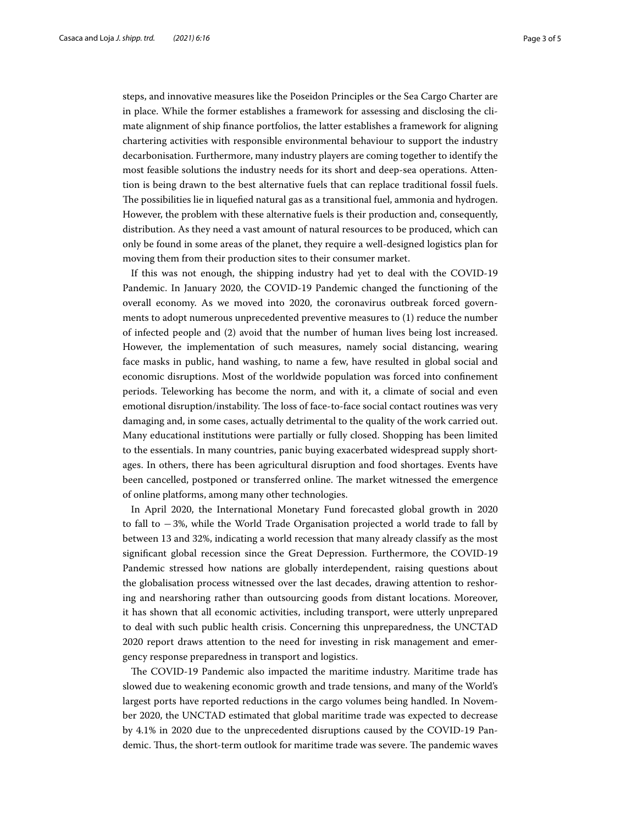steps, and innovative measures like the Poseidon Principles or the Sea Cargo Charter are in place. While the former establishes a framework for assessing and disclosing the climate alignment of ship fnance portfolios, the latter establishes a framework for aligning chartering activities with responsible environmental behaviour to support the industry decarbonisation. Furthermore, many industry players are coming together to identify the most feasible solutions the industry needs for its short and deep-sea operations. Attention is being drawn to the best alternative fuels that can replace traditional fossil fuels. The possibilities lie in liquefied natural gas as a transitional fuel, ammonia and hydrogen. However, the problem with these alternative fuels is their production and, consequently, distribution. As they need a vast amount of natural resources to be produced, which can only be found in some areas of the planet, they require a well-designed logistics plan for moving them from their production sites to their consumer market.

If this was not enough, the shipping industry had yet to deal with the COVID-19 Pandemic. In January 2020, the COVID-19 Pandemic changed the functioning of the overall economy. As we moved into 2020, the coronavirus outbreak forced governments to adopt numerous unprecedented preventive measures to (1) reduce the number of infected people and (2) avoid that the number of human lives being lost increased. However, the implementation of such measures, namely social distancing, wearing face masks in public, hand washing, to name a few, have resulted in global social and economic disruptions. Most of the worldwide population was forced into confnement periods. Teleworking has become the norm, and with it, a climate of social and even emotional disruption/instability. The loss of face-to-face social contact routines was very damaging and, in some cases, actually detrimental to the quality of the work carried out. Many educational institutions were partially or fully closed. Shopping has been limited to the essentials. In many countries, panic buying exacerbated widespread supply shortages. In others, there has been agricultural disruption and food shortages. Events have been cancelled, postponed or transferred online. The market witnessed the emergence of online platforms, among many other technologies.

In April 2020, the International Monetary Fund forecasted global growth in 2020 to fall to −3%, while the World Trade Organisation projected a world trade to fall by between 13 and 32%, indicating a world recession that many already classify as the most signifcant global recession since the Great Depression. Furthermore, the COVID-19 Pandemic stressed how nations are globally interdependent, raising questions about the globalisation process witnessed over the last decades, drawing attention to reshoring and nearshoring rather than outsourcing goods from distant locations. Moreover, it has shown that all economic activities, including transport, were utterly unprepared to deal with such public health crisis. Concerning this unpreparedness, the UNCTAD 2020 report draws attention to the need for investing in risk management and emergency response preparedness in transport and logistics.

The COVID-19 Pandemic also impacted the maritime industry. Maritime trade has slowed due to weakening economic growth and trade tensions, and many of the World's largest ports have reported reductions in the cargo volumes being handled. In November 2020, the UNCTAD estimated that global maritime trade was expected to decrease by 4.1% in 2020 due to the unprecedented disruptions caused by the COVID-19 Pandemic. Thus, the short-term outlook for maritime trade was severe. The pandemic waves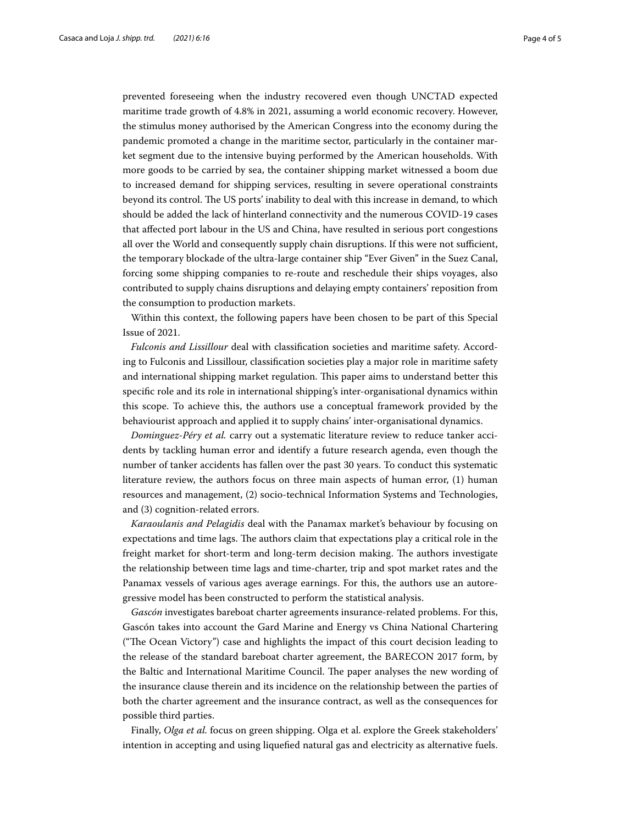prevented foreseeing when the industry recovered even though UNCTAD expected maritime trade growth of 4.8% in 2021, assuming a world economic recovery. However, the stimulus money authorised by the American Congress into the economy during the pandemic promoted a change in the maritime sector, particularly in the container market segment due to the intensive buying performed by the American households. With more goods to be carried by sea, the container shipping market witnessed a boom due to increased demand for shipping services, resulting in severe operational constraints beyond its control. The US ports' inability to deal with this increase in demand, to which should be added the lack of hinterland connectivity and the numerous COVID-19 cases that afected port labour in the US and China, have resulted in serious port congestions all over the World and consequently supply chain disruptions. If this were not sufficient, the temporary blockade of the ultra-large container ship "Ever Given" in the Suez Canal, forcing some shipping companies to re-route and reschedule their ships voyages, also contributed to supply chains disruptions and delaying empty containers' reposition from the consumption to production markets.

Within this context, the following papers have been chosen to be part of this Special Issue of 2021.

*Fulconis and Lissillour* deal with classifcation societies and maritime safety. According to Fulconis and Lissillour, classifcation societies play a major role in maritime safety and international shipping market regulation. This paper aims to understand better this specifc role and its role in international shipping's inter-organisational dynamics within this scope. To achieve this, the authors use a conceptual framework provided by the behaviourist approach and applied it to supply chains' inter-organisational dynamics.

*Dominguez-Péry et al.* carry out a systematic literature review to reduce tanker accidents by tackling human error and identify a future research agenda, even though the number of tanker accidents has fallen over the past 30 years. To conduct this systematic literature review, the authors focus on three main aspects of human error, (1) human resources and management, (2) socio-technical Information Systems and Technologies, and (3) cognition-related errors.

*Karaoulanis and Pelagidis* deal with the Panamax market's behaviour by focusing on expectations and time lags. The authors claim that expectations play a critical role in the freight market for short-term and long-term decision making. The authors investigate the relationship between time lags and time-charter, trip and spot market rates and the Panamax vessels of various ages average earnings. For this, the authors use an autoregressive model has been constructed to perform the statistical analysis.

*Gascón* investigates bareboat charter agreements insurance-related problems. For this, Gascón takes into account the Gard Marine and Energy vs China National Chartering ("The Ocean Victory") case and highlights the impact of this court decision leading to the release of the standard bareboat charter agreement, the BARECON 2017 form, by the Baltic and International Maritime Council. The paper analyses the new wording of the insurance clause therein and its incidence on the relationship between the parties of both the charter agreement and the insurance contract, as well as the consequences for possible third parties.

Finally, *Olga et al.* focus on green shipping. Olga et al. explore the Greek stakeholders' intention in accepting and using liquefed natural gas and electricity as alternative fuels.